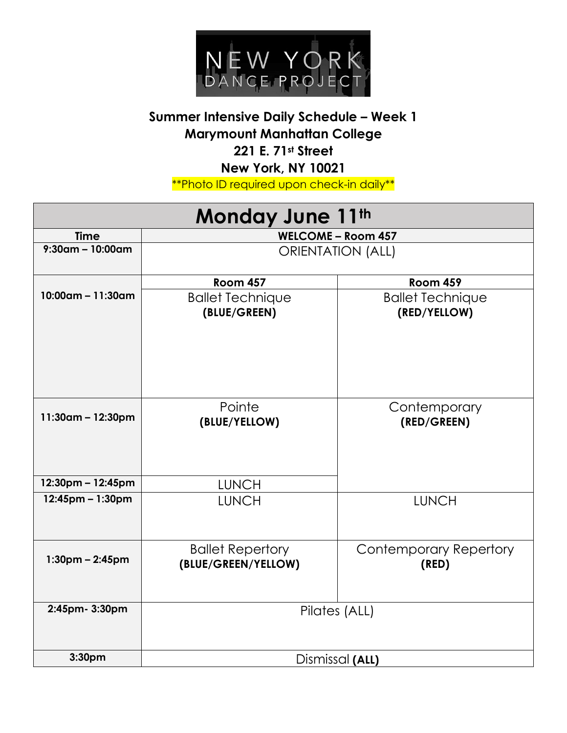

## **Summer Intensive Daily Schedule – Week 1 Marymount Manhattan College 221 E. 71st Street New York, NY 10021**

\*\*Photo ID required upon check-in daily\*\*

| Monday June 11th     |                                                |                                         |  |
|----------------------|------------------------------------------------|-----------------------------------------|--|
| <b>Time</b>          | <b>WELCOME - Room 457</b>                      |                                         |  |
| $9:30$ am – 10:00am  | <b>ORIENTATION (ALL)</b>                       |                                         |  |
|                      | <b>Room 457</b>                                | <b>Room 459</b>                         |  |
| $10:00$ am – 11:30am | <b>Ballet Technique</b><br>(BLUE/GREEN)        | <b>Ballet Technique</b><br>(RED/YELLOW) |  |
| $11:30$ am - 12:30pm | Pointe<br>(BLUE/YELLOW)                        | Contemporary<br>(RED/GREEN)             |  |
| 12:30pm - 12:45pm    | <b>LUNCH</b>                                   |                                         |  |
| 12:45pm - 1:30pm     | <b>LUNCH</b>                                   | <b>LUNCH</b>                            |  |
| $1:30$ pm – 2:45pm   | <b>Ballet Repertory</b><br>(BLUE/GREEN/YELLOW) | <b>Contemporary Repertory</b><br>(RED)  |  |
| 2:45pm- 3:30pm       | Pilates (ALL)                                  |                                         |  |
| 3:30pm               | Dismissal (ALL)                                |                                         |  |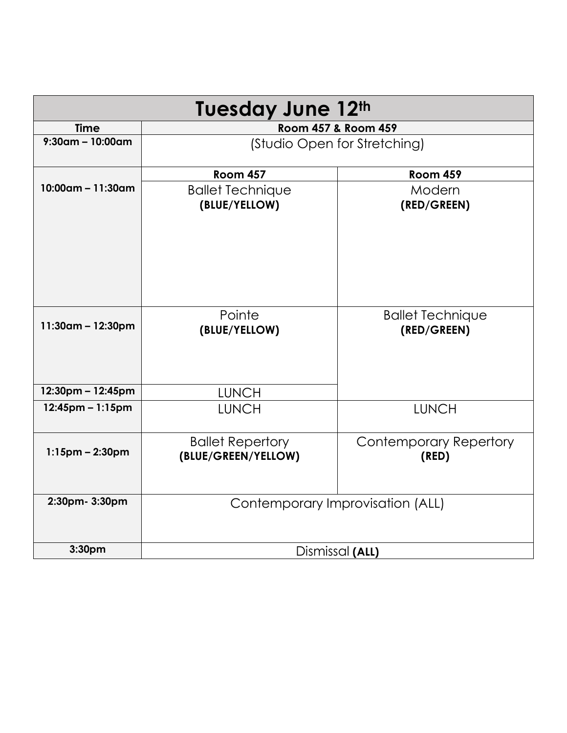| <b>Tuesday June 12th</b> |                                                |                                        |
|--------------------------|------------------------------------------------|----------------------------------------|
| <b>Time</b>              |                                                | Room 457 & Room 459                    |
| $9:30$ am – 10:00am      | (Studio Open for Stretching)                   |                                        |
|                          | <b>Room 457</b>                                | <b>Room 459</b>                        |
| $10:00$ am - 11:30am     | <b>Ballet Technique</b><br>(BLUE/YELLOW)       | Modern<br>(RED/GREEN)                  |
| $11:30$ am – 12:30pm     | Pointe<br>(BLUE/YELLOW)                        | <b>Ballet Technique</b><br>(RED/GREEN) |
| 12:30pm - 12:45pm        | <b>LUNCH</b>                                   |                                        |
| $12:45$ pm – 1:15pm      | <b>LUNCH</b>                                   | <b>LUNCH</b>                           |
| $1:15$ pm – 2:30pm       | <b>Ballet Repertory</b><br>(BLUE/GREEN/YELLOW) | <b>Contemporary Repertory</b><br>(RED) |
| 2:30pm- 3:30pm           | Contemporary Improvisation (ALL)               |                                        |
| 3:30pm                   | Dismissal (ALL)                                |                                        |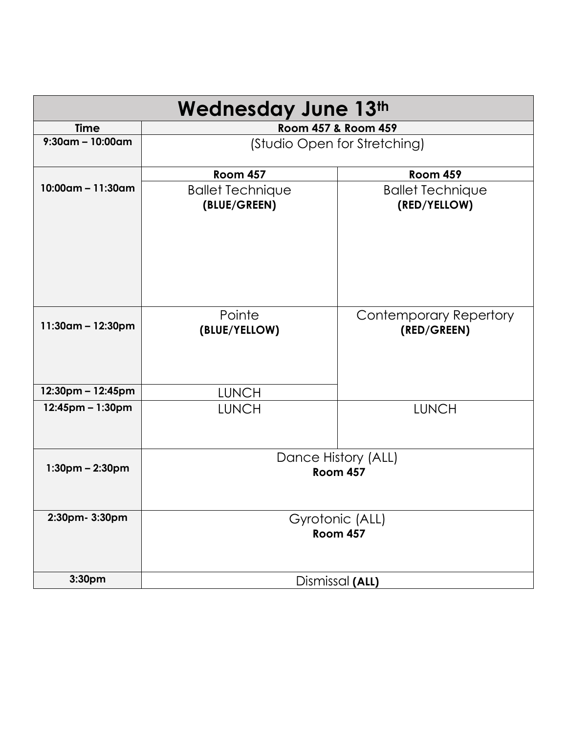| <b>Wednesday June 13th</b> |                                         |                                              |
|----------------------------|-----------------------------------------|----------------------------------------------|
| <b>Time</b>                | Room 457 & Room 459                     |                                              |
| $9:30$ am - 10:00am        | (Studio Open for Stretching)            |                                              |
|                            | <b>Room 457</b>                         | <b>Room 459</b>                              |
| $10:00$ am – 11:30am       | <b>Ballet Technique</b><br>(BLUE/GREEN) | <b>Ballet Technique</b><br>(RED/YELLOW)      |
| $11:30$ am - 12:30pm       | Pointe<br>(BLUE/YELLOW)                 | <b>Contemporary Repertory</b><br>(RED/GREEN) |
| 12:30pm - 12:45pm          | <b>LUNCH</b>                            |                                              |
| $12:45$ pm – 1:30pm        | <b>LUNCH</b>                            | <b>LUNCH</b>                                 |
| $1:30$ pm – 2:30pm         | Dance History (ALL)<br><b>Room 457</b>  |                                              |
| 2:30pm- 3:30pm             | Gyrotonic (ALL)<br>Room 457             |                                              |
| 3:30pm                     | Dismissal (ALL)                         |                                              |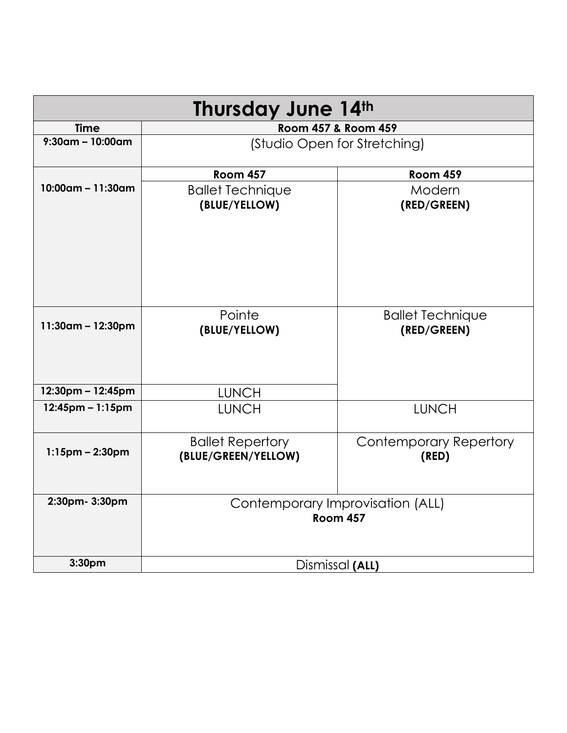| <b>Thursday June 14th</b> |                                                     |                                        |  |
|---------------------------|-----------------------------------------------------|----------------------------------------|--|
| <b>Time</b>               |                                                     | Room 457 & Room 459                    |  |
| $9:30$ am – 10:00am       |                                                     | (Studio Open for Stretching)           |  |
|                           | <b>Room 457</b>                                     | <b>Room 459</b>                        |  |
| $10:00$ am – 11:30am      | <b>Ballet Technique</b><br>(BLUE/YELLOW)            | Modern<br>(RED/GREEN)                  |  |
| 11:30am - 12:30pm         | Pointe<br>(BLUE/YELLOW)                             | <b>Ballet Technique</b><br>(RED/GREEN) |  |
| 12:30pm - 12:45pm         | <b>LUNCH</b>                                        |                                        |  |
| $12:45$ pm - 1:15pm       | <b>LUNCH</b>                                        | <b>LUNCH</b>                           |  |
| $1:15$ pm – 2:30pm        | <b>Ballet Repertory</b><br>(BLUE/GREEN/YELLOW)      | <b>Contemporary Repertory</b><br>(RED) |  |
| 2:30pm- 3:30pm            | Contemporary Improvisation (ALL)<br><b>Room 457</b> |                                        |  |
| 3:30pm                    | Dismissal (ALL)                                     |                                        |  |